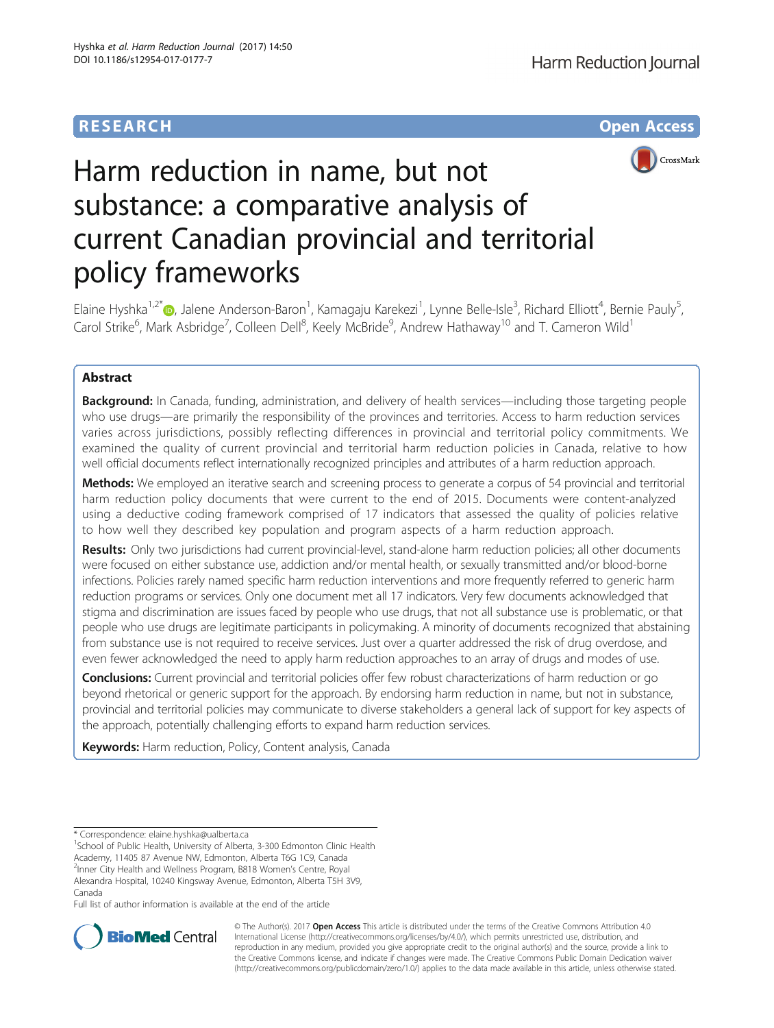# **RESEARCH CHE Open Access**



# Harm reduction in name, but not substance: a comparative analysis of current Canadian provincial and territorial policy frameworks

Elaine Hyshka<sup>1,2\*</sup>®, Jalene Anderson-Baron<sup>1</sup>, Kamagaju Karekezi<sup>1</sup>, Lynne Belle-Isle<sup>3</sup>, Richard Elliott<sup>4</sup>, Bernie Pauly<sup>5</sup> , Carol Strike<sup>6</sup>, Mark Asbridge<sup>7</sup>, Colleen Dell<sup>8</sup>, Keely McBride<sup>9</sup>, Andrew Hathaway<sup>10</sup> and T. Cameron Wild<sup>1</sup>

# Abstract

**Background:** In Canada, funding, administration, and delivery of health services—including those targeting people who use drugs—are primarily the responsibility of the provinces and territories. Access to harm reduction services varies across jurisdictions, possibly reflecting differences in provincial and territorial policy commitments. We examined the quality of current provincial and territorial harm reduction policies in Canada, relative to how well official documents reflect internationally recognized principles and attributes of a harm reduction approach.

Methods: We employed an iterative search and screening process to generate a corpus of 54 provincial and territorial harm reduction policy documents that were current to the end of 2015. Documents were content-analyzed using a deductive coding framework comprised of 17 indicators that assessed the quality of policies relative to how well they described key population and program aspects of a harm reduction approach.

Results: Only two jurisdictions had current provincial-level, stand-alone harm reduction policies; all other documents were focused on either substance use, addiction and/or mental health, or sexually transmitted and/or blood-borne infections. Policies rarely named specific harm reduction interventions and more frequently referred to generic harm reduction programs or services. Only one document met all 17 indicators. Very few documents acknowledged that stigma and discrimination are issues faced by people who use drugs, that not all substance use is problematic, or that people who use drugs are legitimate participants in policymaking. A minority of documents recognized that abstaining from substance use is not required to receive services. Just over a quarter addressed the risk of drug overdose, and even fewer acknowledged the need to apply harm reduction approaches to an array of drugs and modes of use.

Conclusions: Current provincial and territorial policies offer few robust characterizations of harm reduction or go beyond rhetorical or generic support for the approach. By endorsing harm reduction in name, but not in substance, provincial and territorial policies may communicate to diverse stakeholders a general lack of support for key aspects of the approach, potentially challenging efforts to expand harm reduction services.

Keywords: Harm reduction, Policy, Content analysis, Canada

2 Inner City Health and Wellness Program, B818 Women's Centre, Royal

Full list of author information is available at the end of the article



© The Author(s). 2017 **Open Access** This article is distributed under the terms of the Creative Commons Attribution 4.0 International License [\(http://creativecommons.org/licenses/by/4.0/](http://creativecommons.org/licenses/by/4.0/)), which permits unrestricted use, distribution, and reproduction in any medium, provided you give appropriate credit to the original author(s) and the source, provide a link to the Creative Commons license, and indicate if changes were made. The Creative Commons Public Domain Dedication waiver [\(http://creativecommons.org/publicdomain/zero/1.0/](http://creativecommons.org/publicdomain/zero/1.0/)) applies to the data made available in this article, unless otherwise stated.

<sup>\*</sup> Correspondence: [elaine.hyshka@ualberta.ca](mailto:elaine.hyshka@ualberta.ca) <sup>1</sup>

<sup>&</sup>lt;sup>1</sup>School of Public Health, University of Alberta, 3-300 Edmonton Clinic Health Academy, 11405 87 Avenue NW, Edmonton, Alberta T6G 1C9, Canada

Alexandra Hospital, 10240 Kingsway Avenue, Edmonton, Alberta T5H 3V9, Canada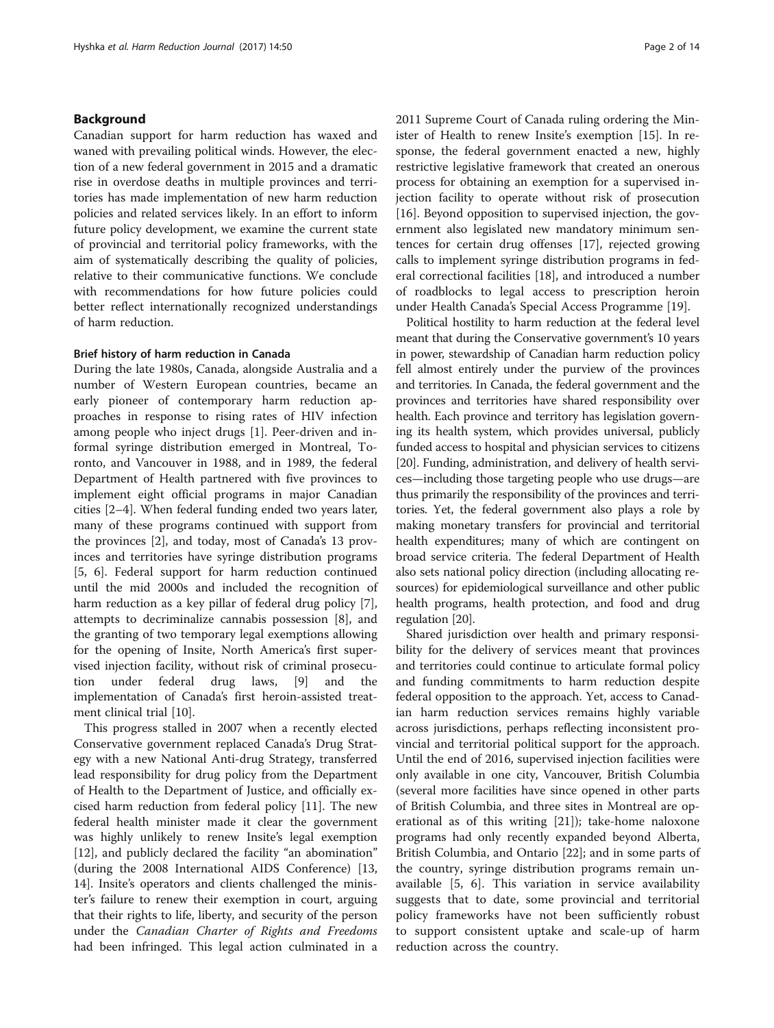# Background

Canadian support for harm reduction has waxed and waned with prevailing political winds. However, the election of a new federal government in 2015 and a dramatic rise in overdose deaths in multiple provinces and territories has made implementation of new harm reduction policies and related services likely. In an effort to inform future policy development, we examine the current state of provincial and territorial policy frameworks, with the aim of systematically describing the quality of policies, relative to their communicative functions. We conclude with recommendations for how future policies could better reflect internationally recognized understandings of harm reduction.

# Brief history of harm reduction in Canada

During the late 1980s, Canada, alongside Australia and a number of Western European countries, became an early pioneer of contemporary harm reduction approaches in response to rising rates of HIV infection among people who inject drugs [[1](#page-12-0)]. Peer-driven and informal syringe distribution emerged in Montreal, Toronto, and Vancouver in 1988, and in 1989, the federal Department of Health partnered with five provinces to implement eight official programs in major Canadian cities [[2](#page-12-0)–[4\]](#page-12-0). When federal funding ended two years later, many of these programs continued with support from the provinces [\[2](#page-12-0)], and today, most of Canada's 13 provinces and territories have syringe distribution programs [[5, 6](#page-12-0)]. Federal support for harm reduction continued until the mid 2000s and included the recognition of harm reduction as a key pillar of federal drug policy [\[7](#page-12-0)], attempts to decriminalize cannabis possession [[8](#page-12-0)], and the granting of two temporary legal exemptions allowing for the opening of Insite, North America's first supervised injection facility, without risk of criminal prosecution under federal drug laws, [\[9](#page-12-0)] and the implementation of Canada's first heroin-assisted treatment clinical trial [\[10\]](#page-12-0).

This progress stalled in 2007 when a recently elected Conservative government replaced Canada's Drug Strategy with a new National Anti-drug Strategy, transferred lead responsibility for drug policy from the Department of Health to the Department of Justice, and officially excised harm reduction from federal policy [\[11\]](#page-12-0). The new federal health minister made it clear the government was highly unlikely to renew Insite's legal exemption [[12\]](#page-12-0), and publicly declared the facility "an abomination" (during the 2008 International AIDS Conference) [[13](#page-12-0), [14\]](#page-12-0). Insite's operators and clients challenged the minister's failure to renew their exemption in court, arguing that their rights to life, liberty, and security of the person under the Canadian Charter of Rights and Freedoms had been infringed. This legal action culminated in a 2011 Supreme Court of Canada ruling ordering the Minister of Health to renew Insite's exemption [[15](#page-12-0)]. In response, the federal government enacted a new, highly restrictive legislative framework that created an onerous process for obtaining an exemption for a supervised injection facility to operate without risk of prosecution [[16\]](#page-12-0). Beyond opposition to supervised injection, the government also legislated new mandatory minimum sentences for certain drug offenses [[17](#page-12-0)], rejected growing calls to implement syringe distribution programs in federal correctional facilities [[18\]](#page-12-0), and introduced a number of roadblocks to legal access to prescription heroin under Health Canada's Special Access Programme [\[19](#page-12-0)].

Political hostility to harm reduction at the federal level meant that during the Conservative government's 10 years in power, stewardship of Canadian harm reduction policy fell almost entirely under the purview of the provinces and territories. In Canada, the federal government and the provinces and territories have shared responsibility over health. Each province and territory has legislation governing its health system, which provides universal, publicly funded access to hospital and physician services to citizens [[20](#page-12-0)]. Funding, administration, and delivery of health services—including those targeting people who use drugs—are thus primarily the responsibility of the provinces and territories. Yet, the federal government also plays a role by making monetary transfers for provincial and territorial health expenditures; many of which are contingent on broad service criteria. The federal Department of Health also sets national policy direction (including allocating resources) for epidemiological surveillance and other public health programs, health protection, and food and drug regulation [[20\]](#page-12-0).

Shared jurisdiction over health and primary responsibility for the delivery of services meant that provinces and territories could continue to articulate formal policy and funding commitments to harm reduction despite federal opposition to the approach. Yet, access to Canadian harm reduction services remains highly variable across jurisdictions, perhaps reflecting inconsistent provincial and territorial political support for the approach. Until the end of 2016, supervised injection facilities were only available in one city, Vancouver, British Columbia (several more facilities have since opened in other parts of British Columbia, and three sites in Montreal are operational as of this writing [\[21](#page-12-0)]); take-home naloxone programs had only recently expanded beyond Alberta, British Columbia, and Ontario [[22\]](#page-12-0); and in some parts of the country, syringe distribution programs remain unavailable [\[5](#page-12-0), [6\]](#page-12-0). This variation in service availability suggests that to date, some provincial and territorial policy frameworks have not been sufficiently robust to support consistent uptake and scale-up of harm reduction across the country.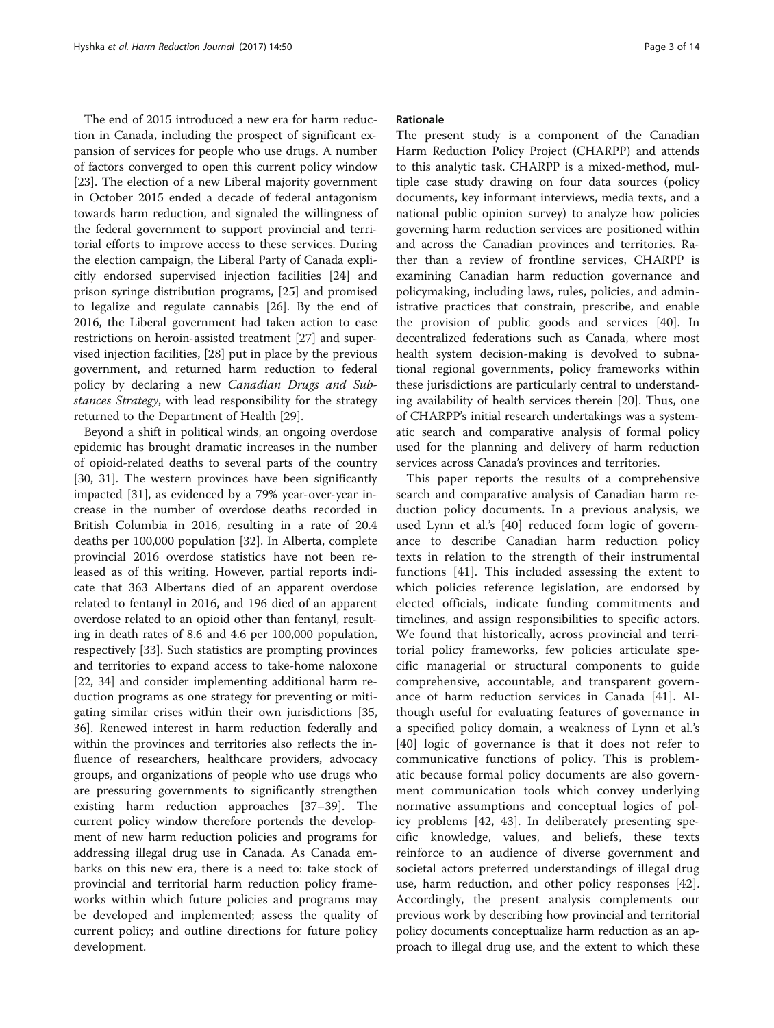The end of 2015 introduced a new era for harm reduction in Canada, including the prospect of significant expansion of services for people who use drugs. A number of factors converged to open this current policy window [[23\]](#page-12-0). The election of a new Liberal majority government in October 2015 ended a decade of federal antagonism towards harm reduction, and signaled the willingness of the federal government to support provincial and territorial efforts to improve access to these services. During the election campaign, the Liberal Party of Canada explicitly endorsed supervised injection facilities [\[24](#page-12-0)] and prison syringe distribution programs, [\[25](#page-12-0)] and promised to legalize and regulate cannabis [[26\]](#page-12-0). By the end of 2016, the Liberal government had taken action to ease restrictions on heroin-assisted treatment [\[27](#page-12-0)] and supervised injection facilities, [\[28](#page-12-0)] put in place by the previous government, and returned harm reduction to federal policy by declaring a new Canadian Drugs and Substances Strategy, with lead responsibility for the strategy returned to the Department of Health [\[29](#page-12-0)].

Beyond a shift in political winds, an ongoing overdose epidemic has brought dramatic increases in the number of opioid-related deaths to several parts of the country [[30, 31\]](#page-12-0). The western provinces have been significantly impacted [\[31\]](#page-12-0), as evidenced by a 79% year-over-year increase in the number of overdose deaths recorded in British Columbia in 2016, resulting in a rate of 20.4 deaths per 100,000 population [\[32](#page-12-0)]. In Alberta, complete provincial 2016 overdose statistics have not been released as of this writing. However, partial reports indicate that 363 Albertans died of an apparent overdose related to fentanyl in 2016, and 196 died of an apparent overdose related to an opioid other than fentanyl, resulting in death rates of 8.6 and 4.6 per 100,000 population, respectively [\[33](#page-12-0)]. Such statistics are prompting provinces and territories to expand access to take-home naloxone [[22,](#page-12-0) [34](#page-13-0)] and consider implementing additional harm reduction programs as one strategy for preventing or mitigating similar crises within their own jurisdictions [[35](#page-13-0), [36\]](#page-13-0). Renewed interest in harm reduction federally and within the provinces and territories also reflects the influence of researchers, healthcare providers, advocacy groups, and organizations of people who use drugs who are pressuring governments to significantly strengthen existing harm reduction approaches [\[37](#page-13-0)–[39\]](#page-13-0). The current policy window therefore portends the development of new harm reduction policies and programs for addressing illegal drug use in Canada. As Canada embarks on this new era, there is a need to: take stock of provincial and territorial harm reduction policy frameworks within which future policies and programs may be developed and implemented; assess the quality of current policy; and outline directions for future policy development.

## Rationale

The present study is a component of the Canadian Harm Reduction Policy Project (CHARPP) and attends to this analytic task. CHARPP is a mixed-method, multiple case study drawing on four data sources (policy documents, key informant interviews, media texts, and a national public opinion survey) to analyze how policies governing harm reduction services are positioned within and across the Canadian provinces and territories. Rather than a review of frontline services, CHARPP is examining Canadian harm reduction governance and policymaking, including laws, rules, policies, and administrative practices that constrain, prescribe, and enable the provision of public goods and services [\[40](#page-13-0)]. In decentralized federations such as Canada, where most health system decision-making is devolved to subnational regional governments, policy frameworks within these jurisdictions are particularly central to understanding availability of health services therein [\[20](#page-12-0)]. Thus, one of CHARPP's initial research undertakings was a systematic search and comparative analysis of formal policy used for the planning and delivery of harm reduction services across Canada's provinces and territories.

This paper reports the results of a comprehensive search and comparative analysis of Canadian harm reduction policy documents. In a previous analysis, we used Lynn et al.'s [[40\]](#page-13-0) reduced form logic of governance to describe Canadian harm reduction policy texts in relation to the strength of their instrumental functions [\[41](#page-13-0)]. This included assessing the extent to which policies reference legislation, are endorsed by elected officials, indicate funding commitments and timelines, and assign responsibilities to specific actors. We found that historically, across provincial and territorial policy frameworks, few policies articulate specific managerial or structural components to guide comprehensive, accountable, and transparent governance of harm reduction services in Canada [[41\]](#page-13-0). Although useful for evaluating features of governance in a specified policy domain, a weakness of Lynn et al.'s [[40\]](#page-13-0) logic of governance is that it does not refer to communicative functions of policy. This is problematic because formal policy documents are also government communication tools which convey underlying normative assumptions and conceptual logics of policy problems [\[42](#page-13-0), [43](#page-13-0)]. In deliberately presenting specific knowledge, values, and beliefs, these texts reinforce to an audience of diverse government and societal actors preferred understandings of illegal drug use, harm reduction, and other policy responses [\[42](#page-13-0)]. Accordingly, the present analysis complements our previous work by describing how provincial and territorial policy documents conceptualize harm reduction as an approach to illegal drug use, and the extent to which these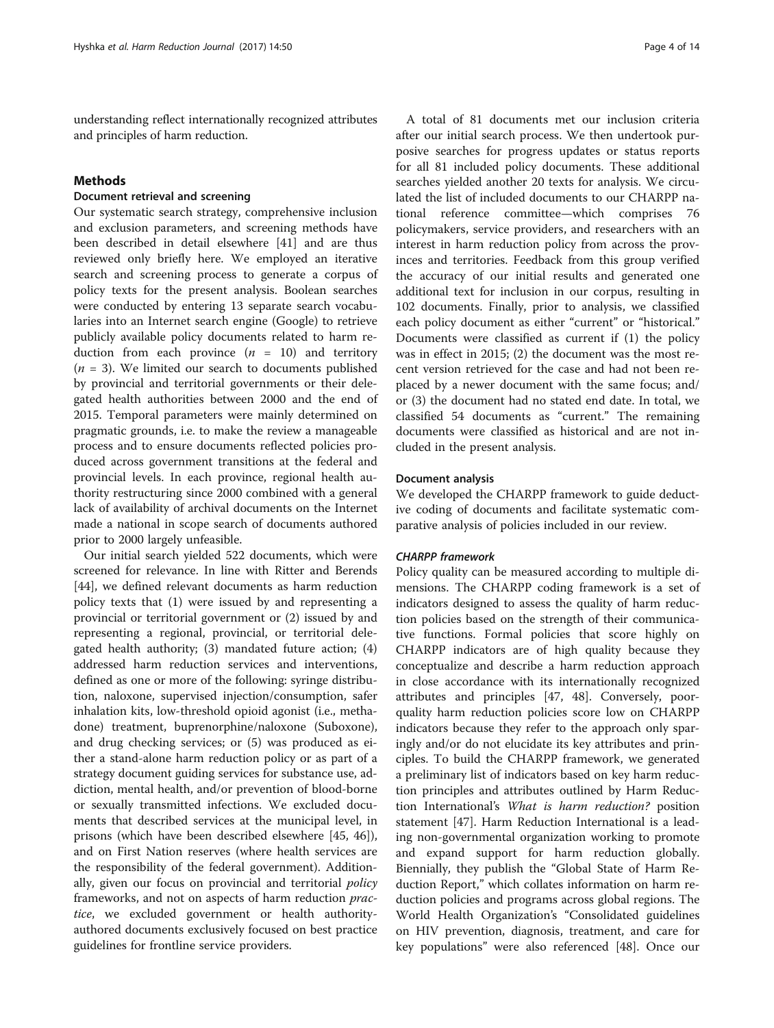understanding reflect internationally recognized attributes and principles of harm reduction.

# Methods

# Document retrieval and screening

Our systematic search strategy, comprehensive inclusion and exclusion parameters, and screening methods have been described in detail elsewhere [[41\]](#page-13-0) and are thus reviewed only briefly here. We employed an iterative search and screening process to generate a corpus of policy texts for the present analysis. Boolean searches were conducted by entering 13 separate search vocabularies into an Internet search engine (Google) to retrieve publicly available policy documents related to harm reduction from each province  $(n = 10)$  and territory  $(n = 3)$ . We limited our search to documents published by provincial and territorial governments or their delegated health authorities between 2000 and the end of 2015. Temporal parameters were mainly determined on pragmatic grounds, i.e. to make the review a manageable process and to ensure documents reflected policies produced across government transitions at the federal and provincial levels. In each province, regional health authority restructuring since 2000 combined with a general lack of availability of archival documents on the Internet made a national in scope search of documents authored prior to 2000 largely unfeasible.

Our initial search yielded 522 documents, which were screened for relevance. In line with Ritter and Berends [[44\]](#page-13-0), we defined relevant documents as harm reduction policy texts that (1) were issued by and representing a provincial or territorial government or (2) issued by and representing a regional, provincial, or territorial delegated health authority; (3) mandated future action; (4) addressed harm reduction services and interventions, defined as one or more of the following: syringe distribution, naloxone, supervised injection/consumption, safer inhalation kits, low-threshold opioid agonist (i.e., methadone) treatment, buprenorphine/naloxone (Suboxone), and drug checking services; or (5) was produced as either a stand-alone harm reduction policy or as part of a strategy document guiding services for substance use, addiction, mental health, and/or prevention of blood-borne or sexually transmitted infections. We excluded documents that described services at the municipal level, in prisons (which have been described elsewhere [\[45](#page-13-0), [46](#page-13-0)]), and on First Nation reserves (where health services are the responsibility of the federal government). Additionally, given our focus on provincial and territorial *policy* frameworks, and not on aspects of harm reduction practice, we excluded government or health authorityauthored documents exclusively focused on best practice guidelines for frontline service providers.

A total of 81 documents met our inclusion criteria after our initial search process. We then undertook purposive searches for progress updates or status reports for all 81 included policy documents. These additional searches yielded another 20 texts for analysis. We circulated the list of included documents to our CHARPP national reference committee—which comprises 76 policymakers, service providers, and researchers with an interest in harm reduction policy from across the provinces and territories. Feedback from this group verified the accuracy of our initial results and generated one additional text for inclusion in our corpus, resulting in 102 documents. Finally, prior to analysis, we classified each policy document as either "current" or "historical." Documents were classified as current if (1) the policy was in effect in 2015; (2) the document was the most recent version retrieved for the case and had not been replaced by a newer document with the same focus; and/ or (3) the document had no stated end date. In total, we classified 54 documents as "current." The remaining documents were classified as historical and are not included in the present analysis.

## Document analysis

We developed the CHARPP framework to guide deductive coding of documents and facilitate systematic comparative analysis of policies included in our review.

# CHARPP framework

Policy quality can be measured according to multiple dimensions. The CHARPP coding framework is a set of indicators designed to assess the quality of harm reduction policies based on the strength of their communicative functions. Formal policies that score highly on CHARPP indicators are of high quality because they conceptualize and describe a harm reduction approach in close accordance with its internationally recognized attributes and principles [[47](#page-13-0), [48](#page-13-0)]. Conversely, poorquality harm reduction policies score low on CHARPP indicators because they refer to the approach only sparingly and/or do not elucidate its key attributes and principles. To build the CHARPP framework, we generated a preliminary list of indicators based on key harm reduction principles and attributes outlined by Harm Reduction International's What is harm reduction? position statement [[47\]](#page-13-0). Harm Reduction International is a leading non-governmental organization working to promote and expand support for harm reduction globally. Biennially, they publish the "Global State of Harm Reduction Report," which collates information on harm reduction policies and programs across global regions. The World Health Organization's "Consolidated guidelines on HIV prevention, diagnosis, treatment, and care for key populations" were also referenced [\[48\]](#page-13-0). Once our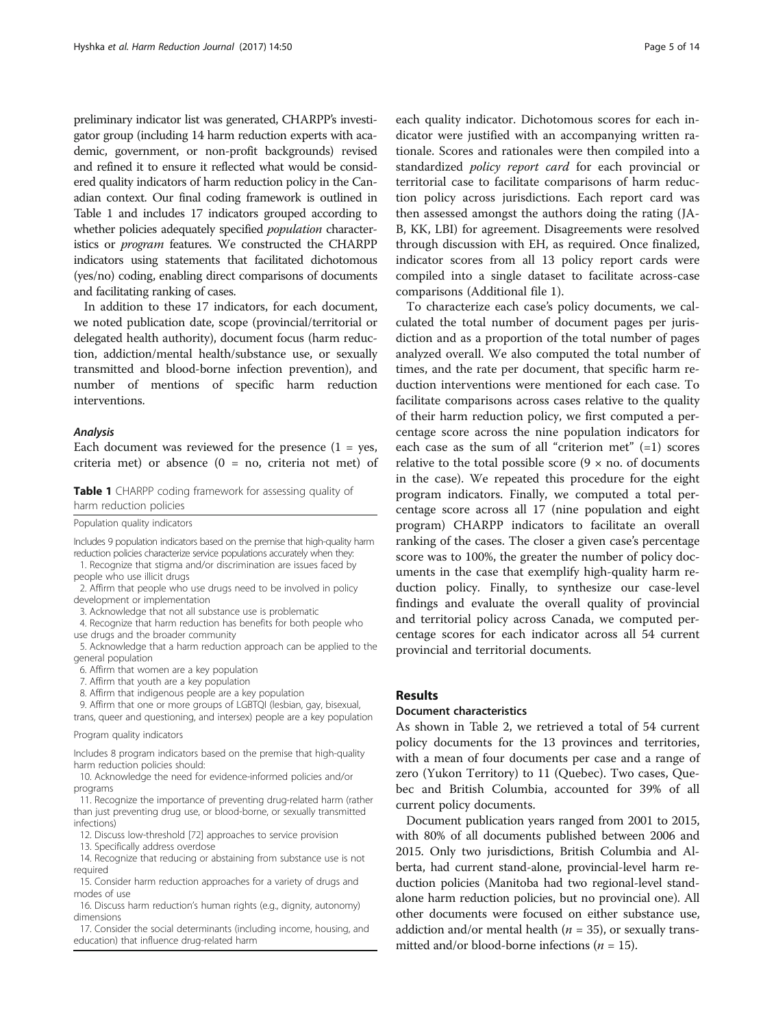preliminary indicator list was generated, CHARPP's investigator group (including 14 harm reduction experts with academic, government, or non-profit backgrounds) revised and refined it to ensure it reflected what would be considered quality indicators of harm reduction policy in the Canadian context. Our final coding framework is outlined in Table 1 and includes 17 indicators grouped according to whether policies adequately specified *population* characteristics or program features. We constructed the CHARPP indicators using statements that facilitated dichotomous (yes/no) coding, enabling direct comparisons of documents and facilitating ranking of cases.

In addition to these 17 indicators, for each document, we noted publication date, scope (provincial/territorial or delegated health authority), document focus (harm reduction, addiction/mental health/substance use, or sexually transmitted and blood-borne infection prevention), and number of mentions of specific harm reduction interventions.

# Analysis

Each document was reviewed for the presence  $(1 = yes,$ criteria met) or absence  $(0 = no,$  criteria not met) of

Table 1 CHARPP coding framework for assessing quality of harm reduction policies

Population quality indicators

Includes 9 population indicators based on the premise that high-quality harm reduction policies characterize service populations accurately when they:

1. Recognize that stigma and/or discrimination are issues faced by people who use illicit drugs

2. Affirm that people who use drugs need to be involved in policy development or implementation

3. Acknowledge that not all substance use is problematic

4. Recognize that harm reduction has benefits for both people who use drugs and the broader community

5. Acknowledge that a harm reduction approach can be applied to the general population

6. Affirm that women are a key population

7. Affirm that youth are a key population

8. Affirm that indigenous people are a key population

9. Affirm that one or more groups of LGBTQI (lesbian, gay, bisexual, trans, queer and questioning, and intersex) people are a key population

## Program quality indicators

Includes 8 program indicators based on the premise that high-quality harm reduction policies should:

10. Acknowledge the need for evidence-informed policies and/or programs

11. Recognize the importance of preventing drug-related harm (rather than just preventing drug use, or blood-borne, or sexually transmitted infections)

12. Discuss low-threshold [\[72\]](#page-13-0) approaches to service provision

13. Specifically address overdose

14. Recognize that reducing or abstaining from substance use is not required

15. Consider harm reduction approaches for a variety of drugs and modes of use

16. Discuss harm reduction's human rights (e.g., dignity, autonomy) dimensions

17. Consider the social determinants (including income, housing, and education) that influence drug-related harm

each quality indicator. Dichotomous scores for each indicator were justified with an accompanying written rationale. Scores and rationales were then compiled into a standardized *policy report card* for each provincial or territorial case to facilitate comparisons of harm reduction policy across jurisdictions. Each report card was then assessed amongst the authors doing the rating (JA-B, KK, LBI) for agreement. Disagreements were resolved through discussion with EH, as required. Once finalized, indicator scores from all 13 policy report cards were compiled into a single dataset to facilitate across-case comparisons (Additional file [1\)](#page-11-0).

To characterize each case's policy documents, we calculated the total number of document pages per jurisdiction and as a proportion of the total number of pages analyzed overall. We also computed the total number of times, and the rate per document, that specific harm reduction interventions were mentioned for each case. To facilitate comparisons across cases relative to the quality of their harm reduction policy, we first computed a percentage score across the nine population indicators for each case as the sum of all "criterion met"  $(=1)$  scores relative to the total possible score  $(9 \times no.$  of documents in the case). We repeated this procedure for the eight program indicators. Finally, we computed a total percentage score across all 17 (nine population and eight program) CHARPP indicators to facilitate an overall ranking of the cases. The closer a given case's percentage score was to 100%, the greater the number of policy documents in the case that exemplify high-quality harm reduction policy. Finally, to synthesize our case-level findings and evaluate the overall quality of provincial and territorial policy across Canada, we computed percentage scores for each indicator across all 54 current provincial and territorial documents.

# Results

## Document characteristics

As shown in Table [2](#page-5-0), we retrieved a total of 54 current policy documents for the 13 provinces and territories, with a mean of four documents per case and a range of zero (Yukon Territory) to 11 (Quebec). Two cases, Quebec and British Columbia, accounted for 39% of all current policy documents.

Document publication years ranged from 2001 to 2015, with 80% of all documents published between 2006 and 2015. Only two jurisdictions, British Columbia and Alberta, had current stand-alone, provincial-level harm reduction policies (Manitoba had two regional-level standalone harm reduction policies, but no provincial one). All other documents were focused on either substance use, addiction and/or mental health ( $n = 35$ ), or sexually transmitted and/or blood-borne infections ( $n = 15$ ).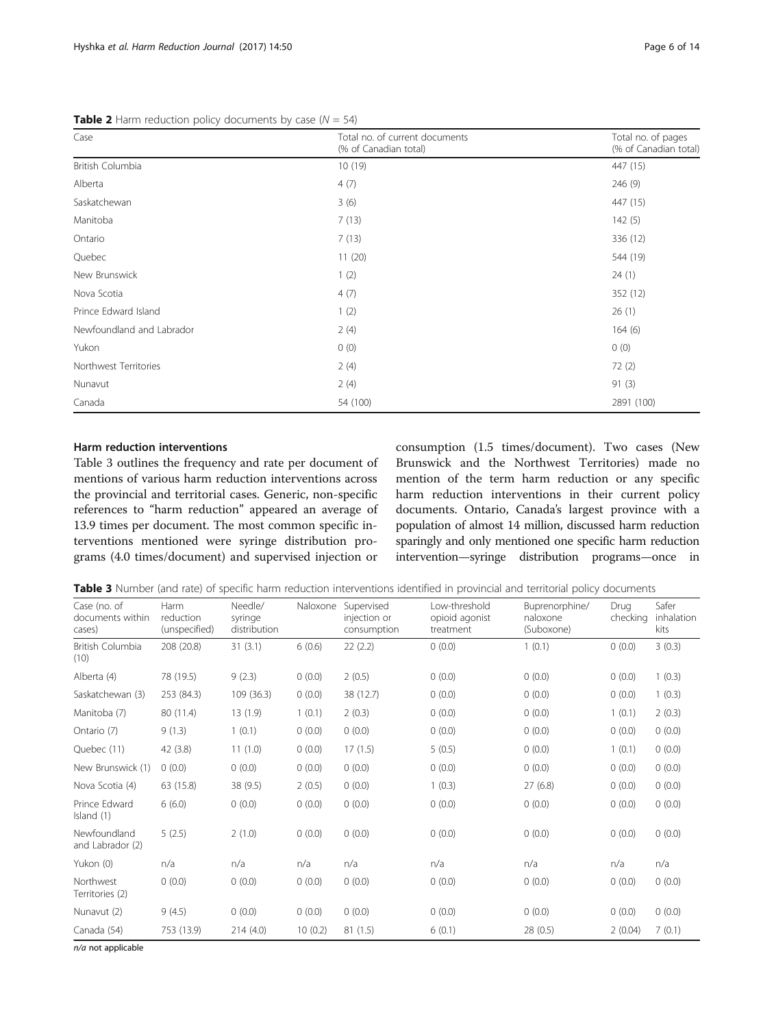| Case                      | Total no. of current documents<br>(% of Canadian total) | Total no. of pages<br>(% of Canadian total)<br>447 (15) |  |  |
|---------------------------|---------------------------------------------------------|---------------------------------------------------------|--|--|
| British Columbia          | 10(19)                                                  |                                                         |  |  |
| Alberta                   | 4(7)                                                    | 246 (9)                                                 |  |  |
| Saskatchewan              | 3(6)                                                    | 447 (15)                                                |  |  |
| Manitoba                  | 7(13)                                                   | 142(5)                                                  |  |  |
| Ontario                   | 7(13)                                                   | 336 (12)                                                |  |  |
| Quebec                    | 11(20)                                                  | 544 (19)                                                |  |  |
| New Brunswick             | 1(2)                                                    | 24(1)                                                   |  |  |
| Nova Scotia               | 4(7)                                                    | 352 (12)                                                |  |  |
| Prince Edward Island      | 1(2)                                                    | 26(1)                                                   |  |  |
| Newfoundland and Labrador | 2(4)                                                    | 164(6)                                                  |  |  |
| Yukon                     | 0(0)                                                    | 0(0)                                                    |  |  |
| Northwest Territories     | 2(4)                                                    | 72(2)                                                   |  |  |
| Nunavut                   | 2(4)                                                    | 91(3)                                                   |  |  |
| Canada                    | 54 (100)                                                | 2891 (100)                                              |  |  |

<span id="page-5-0"></span>**Table 2** Harm reduction policy documents by case ( $N = 54$ )

# Harm reduction interventions

Table 3 outlines the frequency and rate per document of mentions of various harm reduction interventions across the provincial and territorial cases. Generic, non-specific references to "harm reduction" appeared an average of 13.9 times per document. The most common specific interventions mentioned were syringe distribution programs (4.0 times/document) and supervised injection or

consumption (1.5 times/document). Two cases (New Brunswick and the Northwest Territories) made no mention of the term harm reduction or any specific harm reduction interventions in their current policy documents. Ontario, Canada's largest province with a population of almost 14 million, discussed harm reduction sparingly and only mentioned one specific harm reduction intervention—syringe distribution programs—once in

Table 3 Number (and rate) of specific harm reduction interventions identified in provincial and territorial policy documents

| Case (no. of<br>documents within<br>cases) | Harm<br>reduction<br>(unspecified) | Needle/<br>syringe<br>distribution | Naloxone | Supervised<br>injection or<br>consumption | Low-threshold<br>opioid agonist<br>treatment | Buprenorphine/<br>naloxone<br>(Suboxone) | Drug<br>checking | Safer<br>inhalation<br>kits |
|--------------------------------------------|------------------------------------|------------------------------------|----------|-------------------------------------------|----------------------------------------------|------------------------------------------|------------------|-----------------------------|
| British Columbia<br>(10)                   | 208 (20.8)                         | 31(3.1)                            | 6(0.6)   | 22(2.2)                                   | (0.0)                                        | 1(0.1)                                   | 0(0.0)           | 3(0.3)                      |
| Alberta (4)                                | 78 (19.5)                          | 9(2.3)                             | 0(0.0)   | 2(0.5)                                    | (0.0)                                        | (0.0)                                    | 0(0.0)           | 1(0.3)                      |
| Saskatchewan (3)                           | 253 (84.3)                         | 109 (36.3)                         | 0(0.0)   | 38 (12.7)                                 | 0(0.0)                                       | 0(0.0)                                   | 0(0.0)           | 1(0.3)                      |
| Manitoba (7)                               | 80 (11.4)                          | 13(1.9)                            | 1(0.1)   | 2(0.3)                                    | 0(0.0)                                       | 0(0.0)                                   | 1(0.1)           | 2(0.3)                      |
| Ontario (7)                                | 9(1.3)                             | 1(0.1)                             | 0(0.0)   | 0(0.0)                                    | 0(0.0)                                       | 0(0.0)                                   | 0(0.0)           | 0(0.0)                      |
| Quebec (11)                                | 42 (3.8)                           | 11(1.0)                            | 0(0.0)   | 17(1.5)                                   | 5(0.5)                                       | 0(0.0)                                   | 1(0.1)           | 0(0.0)                      |
| New Brunswick (1)                          | 0(0.0)                             | 0(0.0)                             | 0(0.0)   | 0(0.0)                                    | 0(0.0)                                       | 0(0.0)                                   | 0(0.0)           | 0(0.0)                      |
| Nova Scotia (4)                            | 63 (15.8)                          | 38 (9.5)                           | 2(0.5)   | 0(0.0)                                    | 1(0.3)                                       | 27(6.8)                                  | 0(0.0)           | 0(0.0)                      |
| Prince Edward<br>Island (1)                | 6(6.0)                             | 0(0.0)                             | 0(0.0)   | 0(0.0)                                    | 0(0.0)                                       | 0(0.0)                                   | 0(0.0)           | 0(0.0)                      |
| Newfoundland<br>and Labrador (2)           | 5(2.5)                             | 2(1.0)                             | 0(0.0)   | 0(0.0)                                    | (0.0)                                        | 0(0.0)                                   | 0(0.0)           | 0(0.0)                      |
| Yukon (0)                                  | n/a                                | n/a                                | n/a      | n/a                                       | n/a                                          | n/a                                      | n/a              | n/a                         |
| Northwest<br>Territories (2)               | 0(0.0)                             | 0(0.0)                             | 0(0.0)   | 0(0.0)                                    | 0(0.0)                                       | 0(0.0)                                   | 0(0.0)           | 0(0.0)                      |
| Nunavut (2)                                | 9(4.5)                             | 0(0.0)                             | 0(0.0)   | 0(0.0)                                    | 0(0.0)                                       | 0(0.0)                                   | 0(0.0)           | 0(0.0)                      |
| Canada (54)                                | 753 (13.9)                         | 214(4.0)                           | 10(0.2)  | 81(1.5)                                   | 6(0.1)                                       | 28(0.5)                                  | 2(0.04)          | 7(0.1)                      |

n/a not applicable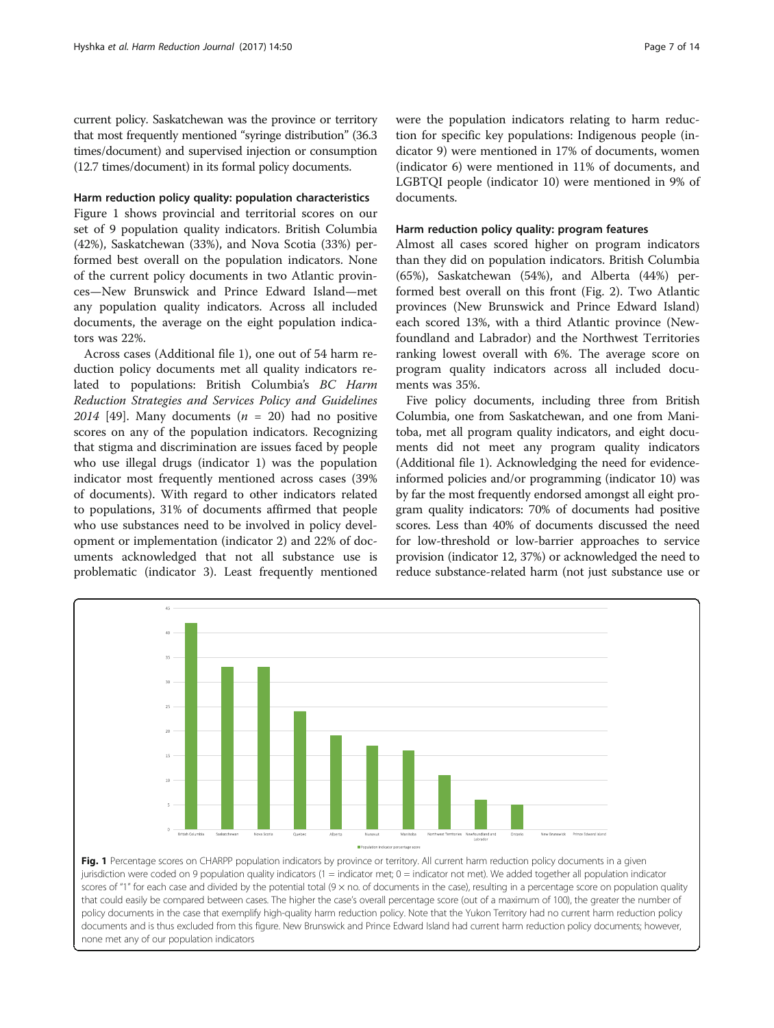current policy. Saskatchewan was the province or territory that most frequently mentioned "syringe distribution" (36.3 times/document) and supervised injection or consumption (12.7 times/document) in its formal policy documents.

# Harm reduction policy quality: population characteristics

Figure 1 shows provincial and territorial scores on our set of 9 population quality indicators. British Columbia (42%), Saskatchewan (33%), and Nova Scotia (33%) performed best overall on the population indicators. None of the current policy documents in two Atlantic provinces—New Brunswick and Prince Edward Island—met any population quality indicators. Across all included documents, the average on the eight population indicators was 22%.

Across cases (Additional file [1](#page-11-0)), one out of 54 harm reduction policy documents met all quality indicators related to populations: British Columbia's BC Harm Reduction Strategies and Services Policy and Guidelines 2014 [\[49](#page-13-0)]. Many documents ( $n = 20$ ) had no positive scores on any of the population indicators. Recognizing that stigma and discrimination are issues faced by people who use illegal drugs (indicator 1) was the population indicator most frequently mentioned across cases (39% of documents). With regard to other indicators related to populations, 31% of documents affirmed that people who use substances need to be involved in policy development or implementation (indicator 2) and 22% of documents acknowledged that not all substance use is problematic (indicator 3). Least frequently mentioned were the population indicators relating to harm reduction for specific key populations: Indigenous people (indicator 9) were mentioned in 17% of documents, women (indicator 6) were mentioned in 11% of documents, and LGBTQI people (indicator 10) were mentioned in 9% of documents.

# Harm reduction policy quality: program features

Almost all cases scored higher on program indicators than they did on population indicators. British Columbia (65%), Saskatchewan (54%), and Alberta (44%) performed best overall on this front (Fig. [2](#page-7-0)). Two Atlantic provinces (New Brunswick and Prince Edward Island) each scored 13%, with a third Atlantic province (Newfoundland and Labrador) and the Northwest Territories ranking lowest overall with 6%. The average score on program quality indicators across all included documents was 35%.

Five policy documents, including three from British Columbia, one from Saskatchewan, and one from Manitoba, met all program quality indicators, and eight documents did not meet any program quality indicators (Additional file [1\)](#page-11-0). Acknowledging the need for evidenceinformed policies and/or programming (indicator 10) was by far the most frequently endorsed amongst all eight program quality indicators: 70% of documents had positive scores. Less than 40% of documents discussed the need for low-threshold or low-barrier approaches to service provision (indicator 12, 37%) or acknowledged the need to reduce substance-related harm (not just substance use or



jurisdiction were coded on 9 population quality indicators  $(1 = \text{indicator met}; 0 = \text{indicator not met})$ . We added together all population indicator scores of "1" for each case and divided by the potential total (9  $\times$  no. of documents in the case), resulting in a percentage score on population quality that could easily be compared between cases. The higher the case's overall percentage score (out of a maximum of 100), the greater the number of policy documents in the case that exemplify high-quality harm reduction policy. Note that the Yukon Territory had no current harm reduction policy documents and is thus excluded from this figure. New Brunswick and Prince Edward Island had current harm reduction policy documents; however, none met any of our population indicators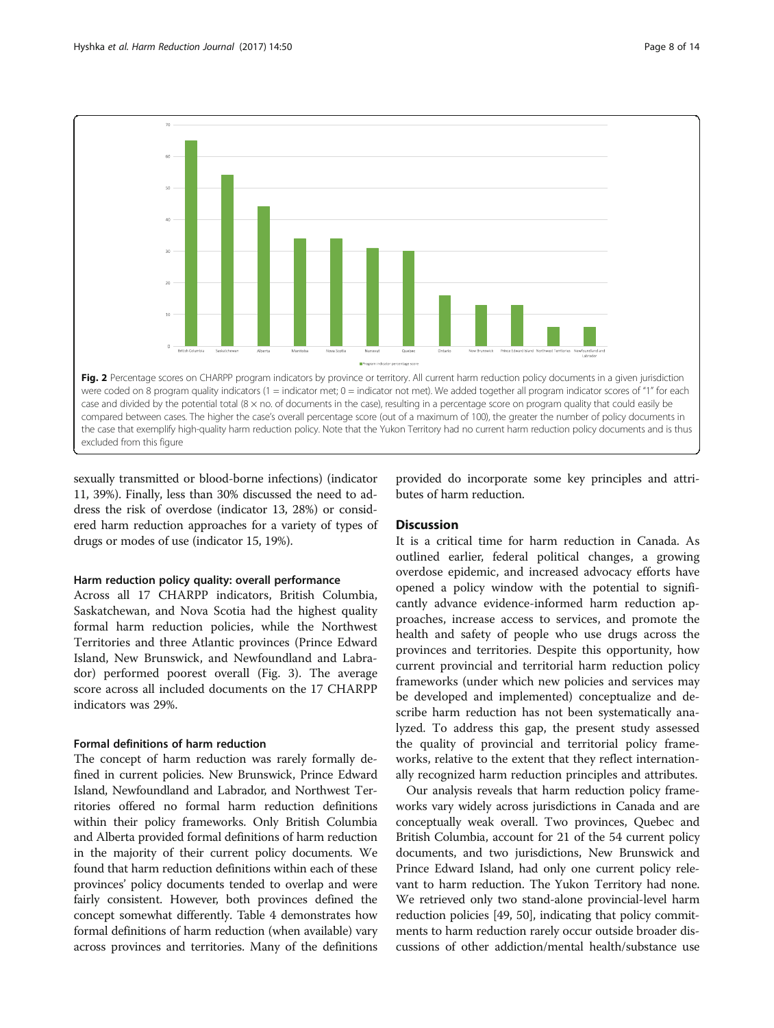<span id="page-7-0"></span>

sexually transmitted or blood-borne infections) (indicator 11, 39%). Finally, less than 30% discussed the need to address the risk of overdose (indicator 13, 28%) or considered harm reduction approaches for a variety of types of drugs or modes of use (indicator 15, 19%).

# Harm reduction policy quality: overall performance

Across all 17 CHARPP indicators, British Columbia, Saskatchewan, and Nova Scotia had the highest quality formal harm reduction policies, while the Northwest Territories and three Atlantic provinces (Prince Edward Island, New Brunswick, and Newfoundland and Labrador) performed poorest overall (Fig. [3\)](#page-8-0). The average score across all included documents on the 17 CHARPP indicators was 29%.

# Formal definitions of harm reduction

The concept of harm reduction was rarely formally defined in current policies. New Brunswick, Prince Edward Island, Newfoundland and Labrador, and Northwest Territories offered no formal harm reduction definitions within their policy frameworks. Only British Columbia and Alberta provided formal definitions of harm reduction in the majority of their current policy documents. We found that harm reduction definitions within each of these provinces' policy documents tended to overlap and were fairly consistent. However, both provinces defined the concept somewhat differently. Table [4](#page-9-0) demonstrates how formal definitions of harm reduction (when available) vary across provinces and territories. Many of the definitions provided do incorporate some key principles and attributes of harm reduction.

# **Discussion**

It is a critical time for harm reduction in Canada. As outlined earlier, federal political changes, a growing overdose epidemic, and increased advocacy efforts have opened a policy window with the potential to significantly advance evidence-informed harm reduction approaches, increase access to services, and promote the health and safety of people who use drugs across the provinces and territories. Despite this opportunity, how current provincial and territorial harm reduction policy frameworks (under which new policies and services may be developed and implemented) conceptualize and describe harm reduction has not been systematically analyzed. To address this gap, the present study assessed the quality of provincial and territorial policy frameworks, relative to the extent that they reflect internationally recognized harm reduction principles and attributes.

Our analysis reveals that harm reduction policy frameworks vary widely across jurisdictions in Canada and are conceptually weak overall. Two provinces, Quebec and British Columbia, account for 21 of the 54 current policy documents, and two jurisdictions, New Brunswick and Prince Edward Island, had only one current policy relevant to harm reduction. The Yukon Territory had none. We retrieved only two stand-alone provincial-level harm reduction policies [[49](#page-13-0), [50](#page-13-0)], indicating that policy commitments to harm reduction rarely occur outside broader discussions of other addiction/mental health/substance use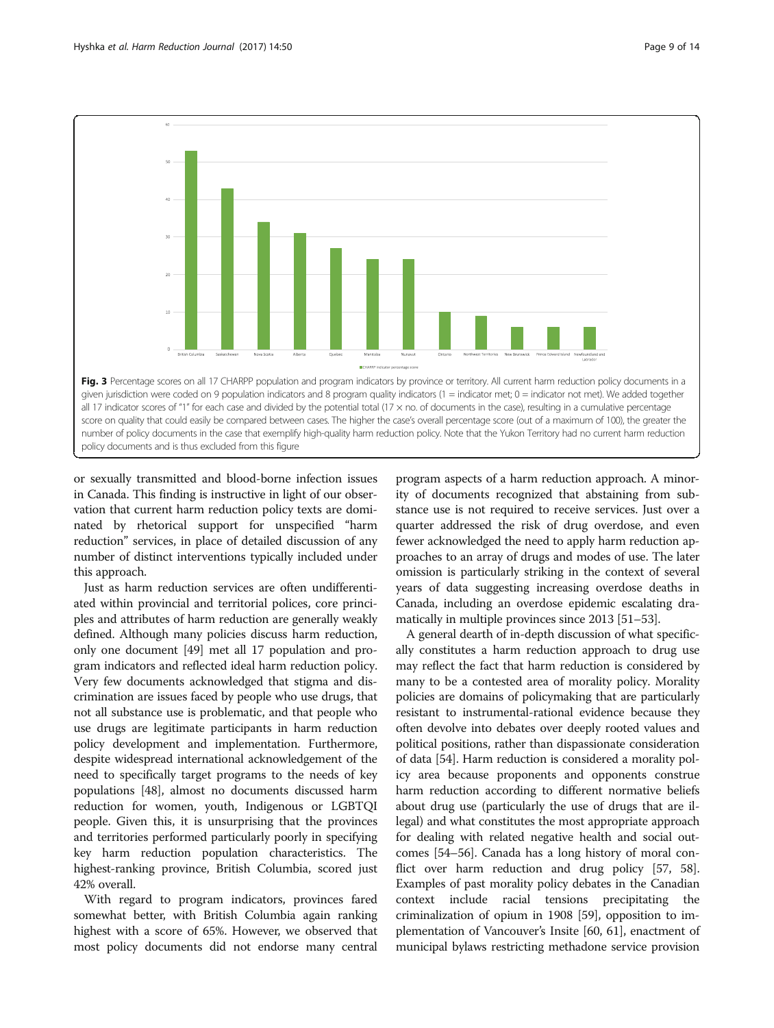<span id="page-8-0"></span>

or sexually transmitted and blood-borne infection issues in Canada. This finding is instructive in light of our observation that current harm reduction policy texts are dominated by rhetorical support for unspecified "harm reduction" services, in place of detailed discussion of any number of distinct interventions typically included under this approach.

Just as harm reduction services are often undifferentiated within provincial and territorial polices, core principles and attributes of harm reduction are generally weakly defined. Although many policies discuss harm reduction, only one document [\[49\]](#page-13-0) met all 17 population and program indicators and reflected ideal harm reduction policy. Very few documents acknowledged that stigma and discrimination are issues faced by people who use drugs, that not all substance use is problematic, and that people who use drugs are legitimate participants in harm reduction policy development and implementation. Furthermore, despite widespread international acknowledgement of the need to specifically target programs to the needs of key populations [\[48](#page-13-0)], almost no documents discussed harm reduction for women, youth, Indigenous or LGBTQI people. Given this, it is unsurprising that the provinces and territories performed particularly poorly in specifying key harm reduction population characteristics. The highest-ranking province, British Columbia, scored just 42% overall.

With regard to program indicators, provinces fared somewhat better, with British Columbia again ranking highest with a score of 65%. However, we observed that most policy documents did not endorse many central

program aspects of a harm reduction approach. A minority of documents recognized that abstaining from substance use is not required to receive services. Just over a quarter addressed the risk of drug overdose, and even fewer acknowledged the need to apply harm reduction approaches to an array of drugs and modes of use. The later omission is particularly striking in the context of several years of data suggesting increasing overdose deaths in Canada, including an overdose epidemic escalating dramatically in multiple provinces since 2013 [\[51](#page-13-0)–[53](#page-13-0)].

A general dearth of in-depth discussion of what specifically constitutes a harm reduction approach to drug use may reflect the fact that harm reduction is considered by many to be a contested area of morality policy. Morality policies are domains of policymaking that are particularly resistant to instrumental-rational evidence because they often devolve into debates over deeply rooted values and political positions, rather than dispassionate consideration of data [\[54\]](#page-13-0). Harm reduction is considered a morality policy area because proponents and opponents construe harm reduction according to different normative beliefs about drug use (particularly the use of drugs that are illegal) and what constitutes the most appropriate approach for dealing with related negative health and social outcomes [[54](#page-13-0)–[56](#page-13-0)]. Canada has a long history of moral conflict over harm reduction and drug policy [\[57, 58](#page-13-0)]. Examples of past morality policy debates in the Canadian context include racial tensions precipitating the criminalization of opium in 1908 [[59](#page-13-0)], opposition to implementation of Vancouver's Insite [[60](#page-13-0), [61\]](#page-13-0), enactment of municipal bylaws restricting methadone service provision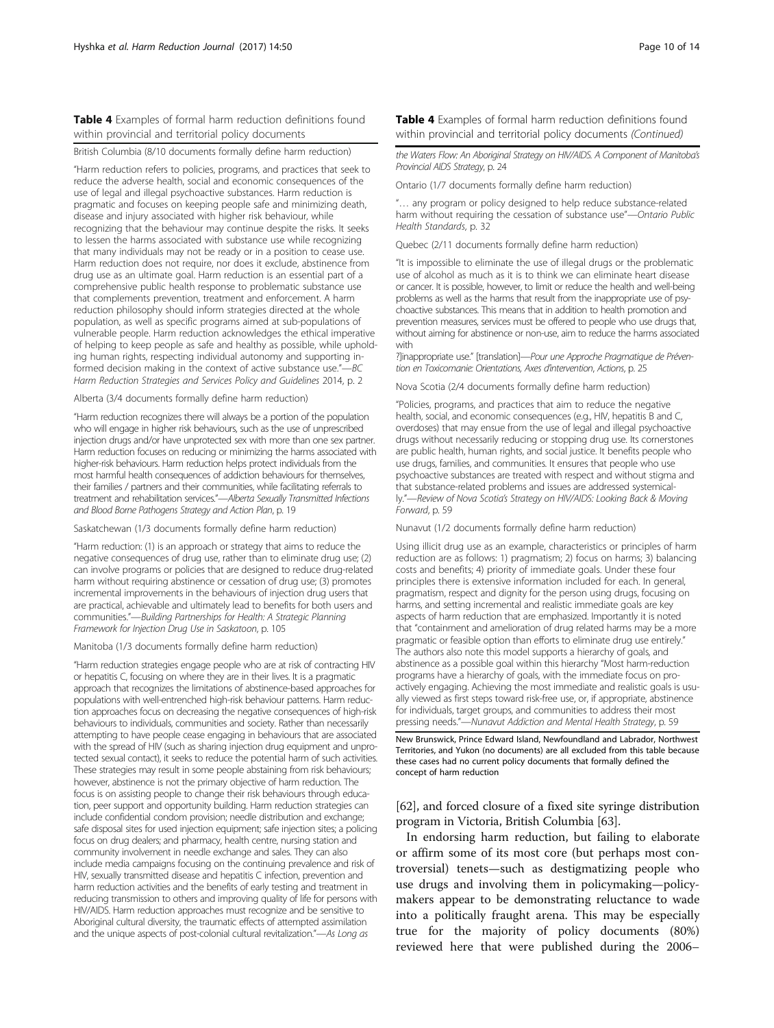# <span id="page-9-0"></span>Table 4 Examples of formal harm reduction definitions found within provincial and territorial policy documents

British Columbia (8/10 documents formally define harm reduction)

"Harm reduction refers to policies, programs, and practices that seek to reduce the adverse health, social and economic consequences of the use of legal and illegal psychoactive substances. Harm reduction is pragmatic and focuses on keeping people safe and minimizing death, disease and injury associated with higher risk behaviour, while recognizing that the behaviour may continue despite the risks. It seeks to lessen the harms associated with substance use while recognizing that many individuals may not be ready or in a position to cease use. Harm reduction does not require, nor does it exclude, abstinence from drug use as an ultimate goal. Harm reduction is an essential part of a comprehensive public health response to problematic substance use that complements prevention, treatment and enforcement. A harm reduction philosophy should inform strategies directed at the whole population, as well as specific programs aimed at sub-populations of vulnerable people. Harm reduction acknowledges the ethical imperative of helping to keep people as safe and healthy as possible, while upholding human rights, respecting individual autonomy and supporting informed decision making in the context of active substance use."—BC Harm Reduction Strategies and Services Policy and Guidelines 2014, p. 2

#### Alberta (3/4 documents formally define harm reduction)

"Harm reduction recognizes there will always be a portion of the population who will engage in higher risk behaviours, such as the use of unprescribed injection drugs and/or have unprotected sex with more than one sex partner. Harm reduction focuses on reducing or minimizing the harms associated with higher-risk behaviours. Harm reduction helps protect individuals from the most harmful health consequences of addiction behaviours for themselves, their families / partners and their communities, while facilitating referrals to treatment and rehabilitation services."—Alberta Sexually Transmitted Infections and Blood Borne Pathogens Strategy and Action Plan, p. 19

#### Saskatchewan (1/3 documents formally define harm reduction)

"Harm reduction: (1) is an approach or strategy that aims to reduce the negative consequences of drug use, rather than to eliminate drug use; (2) can involve programs or policies that are designed to reduce drug-related harm without requiring abstinence or cessation of drug use; (3) promotes incremental improvements in the behaviours of injection drug users that are practical, achievable and ultimately lead to benefits for both users and communities."—Building Partnerships for Health: A Strategic Planning Framework for Injection Drug Use in Saskatoon, p. 105

#### Manitoba (1/3 documents formally define harm reduction)

"Harm reduction strategies engage people who are at risk of contracting HIV or hepatitis C, focusing on where they are in their lives. It is a pragmatic approach that recognizes the limitations of abstinence-based approaches for populations with well-entrenched high-risk behaviour patterns. Harm reduction approaches focus on decreasing the negative consequences of high-risk behaviours to individuals, communities and society. Rather than necessarily attempting to have people cease engaging in behaviours that are associated with the spread of HIV (such as sharing injection drug equipment and unprotected sexual contact), it seeks to reduce the potential harm of such activities. These strategies may result in some people abstaining from risk behaviours; however, abstinence is not the primary objective of harm reduction. The focus is on assisting people to change their risk behaviours through education, peer support and opportunity building. Harm reduction strategies can include confidential condom provision; needle distribution and exchange; safe disposal sites for used injection equipment; safe injection sites; a policing focus on drug dealers; and pharmacy, health centre, nursing station and community involvement in needle exchange and sales. They can also include media campaigns focusing on the continuing prevalence and risk of HIV, sexually transmitted disease and hepatitis C infection, prevention and harm reduction activities and the benefits of early testing and treatment in reducing transmission to others and improving quality of life for persons with HIV/AIDS. Harm reduction approaches must recognize and be sensitive to Aboriginal cultural diversity, the traumatic effects of attempted assimilation and the unique aspects of post-colonial cultural revitalization."—As Long as

# Table 4 Examples of formal harm reduction definitions found within provincial and territorial policy documents (Continued)

the Waters Flow: An Aboriginal Strategy on HIV/AIDS. A Component of Manitoba's Provincial AIDS Strategy, p. 24

Ontario (1/7 documents formally define harm reduction)

"… any program or policy designed to help reduce substance-related harm without requiring the cessation of substance use"—Ontario Public Health Standards, p. 32

Quebec (2/11 documents formally define harm reduction)

"It is impossible to eliminate the use of illegal drugs or the problematic use of alcohol as much as it is to think we can eliminate heart disease or cancer. It is possible, however, to limit or reduce the health and well-being problems as well as the harms that result from the inappropriate use of psychoactive substances. This means that in addition to health promotion and prevention measures, services must be offered to people who use drugs that, without aiming for abstinence or non-use, aim to reduce the harms associated with

?]inappropriate use." [translation]-Pour une Approche Pragmatique de Prévention en Toxicomanie: Orientations, Axes d'intervention, Actions, p. 25

Nova Scotia (2/4 documents formally define harm reduction)

"Policies, programs, and practices that aim to reduce the negative health, social, and economic consequences (e.g., HIV, hepatitis B and C, overdoses) that may ensue from the use of legal and illegal psychoactive drugs without necessarily reducing or stopping drug use. Its cornerstones are public health, human rights, and social justice. It benefits people who use drugs, families, and communities. It ensures that people who use psychoactive substances are treated with respect and without stigma and that substance-related problems and issues are addressed systemically."—Review of Nova Scotia's Strategy on HIV/AIDS: Looking Back & Moving Forward, p. 59

Nunavut (1/2 documents formally define harm reduction)

Using illicit drug use as an example, characteristics or principles of harm reduction are as follows: 1) pragmatism; 2) focus on harms; 3) balancing costs and benefits; 4) priority of immediate goals. Under these four principles there is extensive information included for each. In general, pragmatism, respect and dignity for the person using drugs, focusing on harms, and setting incremental and realistic immediate goals are key aspects of harm reduction that are emphasized. Importantly it is noted that "containment and amelioration of drug related harms may be a more pragmatic or feasible option than efforts to eliminate drug use entirely." The authors also note this model supports a hierarchy of goals, and abstinence as a possible goal within this hierarchy "Most harm-reduction programs have a hierarchy of goals, with the immediate focus on proactively engaging. Achieving the most immediate and realistic goals is usually viewed as first steps toward risk-free use, or, if appropriate, abstinence for individuals, target groups, and communities to address their most pressing needs."—Nunavut Addiction and Mental Health Strategy, p. 59

New Brunswick, Prince Edward Island, Newfoundland and Labrador, Northwest Territories, and Yukon (no documents) are all excluded from this table because these cases had no current policy documents that formally defined the concept of harm reduction

[[62](#page-13-0)], and forced closure of a fixed site syringe distribution program in Victoria, British Columbia [[63](#page-13-0)].

In endorsing harm reduction, but failing to elaborate or affirm some of its most core (but perhaps most controversial) tenets—such as destigmatizing people who use drugs and involving them in policymaking—policymakers appear to be demonstrating reluctance to wade into a politically fraught arena. This may be especially true for the majority of policy documents (80%) reviewed here that were published during the 2006–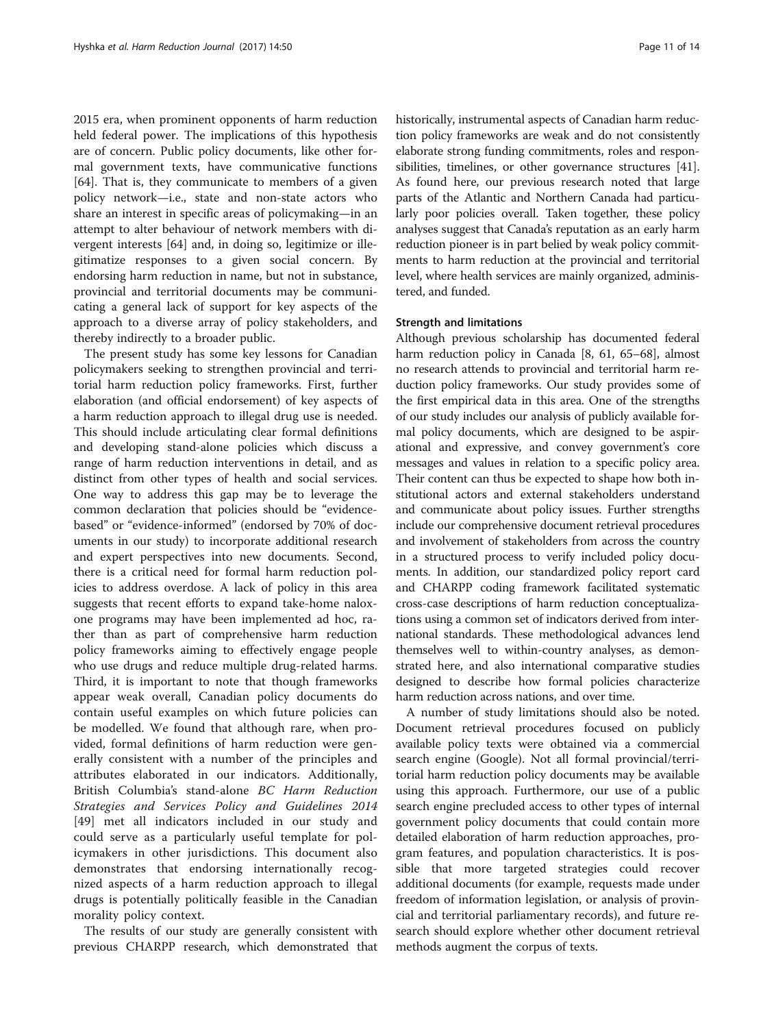2015 era, when prominent opponents of harm reduction held federal power. The implications of this hypothesis are of concern. Public policy documents, like other formal government texts, have communicative functions [[64\]](#page-13-0). That is, they communicate to members of a given policy network—i.e., state and non-state actors who share an interest in specific areas of policymaking—in an attempt to alter behaviour of network members with divergent interests [\[64](#page-13-0)] and, in doing so, legitimize or illegitimatize responses to a given social concern. By endorsing harm reduction in name, but not in substance, provincial and territorial documents may be communicating a general lack of support for key aspects of the approach to a diverse array of policy stakeholders, and thereby indirectly to a broader public.

The present study has some key lessons for Canadian policymakers seeking to strengthen provincial and territorial harm reduction policy frameworks. First, further elaboration (and official endorsement) of key aspects of a harm reduction approach to illegal drug use is needed. This should include articulating clear formal definitions and developing stand-alone policies which discuss a range of harm reduction interventions in detail, and as distinct from other types of health and social services. One way to address this gap may be to leverage the common declaration that policies should be "evidencebased" or "evidence-informed" (endorsed by 70% of documents in our study) to incorporate additional research and expert perspectives into new documents. Second, there is a critical need for formal harm reduction policies to address overdose. A lack of policy in this area suggests that recent efforts to expand take-home naloxone programs may have been implemented ad hoc, rather than as part of comprehensive harm reduction policy frameworks aiming to effectively engage people who use drugs and reduce multiple drug-related harms. Third, it is important to note that though frameworks appear weak overall, Canadian policy documents do contain useful examples on which future policies can be modelled. We found that although rare, when provided, formal definitions of harm reduction were generally consistent with a number of the principles and attributes elaborated in our indicators. Additionally, British Columbia's stand-alone BC Harm Reduction Strategies and Services Policy and Guidelines 2014 [[49\]](#page-13-0) met all indicators included in our study and could serve as a particularly useful template for policymakers in other jurisdictions. This document also demonstrates that endorsing internationally recognized aspects of a harm reduction approach to illegal drugs is potentially politically feasible in the Canadian morality policy context.

The results of our study are generally consistent with previous CHARPP research, which demonstrated that historically, instrumental aspects of Canadian harm reduction policy frameworks are weak and do not consistently elaborate strong funding commitments, roles and responsibilities, timelines, or other governance structures [[41](#page-13-0)]. As found here, our previous research noted that large parts of the Atlantic and Northern Canada had particularly poor policies overall. Taken together, these policy analyses suggest that Canada's reputation as an early harm reduction pioneer is in part belied by weak policy commitments to harm reduction at the provincial and territorial level, where health services are mainly organized, administered, and funded.

# Strength and limitations

Although previous scholarship has documented federal harm reduction policy in Canada [\[8](#page-12-0), [61](#page-13-0), [65](#page-13-0)–[68](#page-13-0)], almost no research attends to provincial and territorial harm reduction policy frameworks. Our study provides some of the first empirical data in this area. One of the strengths of our study includes our analysis of publicly available formal policy documents, which are designed to be aspirational and expressive, and convey government's core messages and values in relation to a specific policy area. Their content can thus be expected to shape how both institutional actors and external stakeholders understand and communicate about policy issues. Further strengths include our comprehensive document retrieval procedures and involvement of stakeholders from across the country in a structured process to verify included policy documents. In addition, our standardized policy report card and CHARPP coding framework facilitated systematic cross-case descriptions of harm reduction conceptualizations using a common set of indicators derived from international standards. These methodological advances lend themselves well to within-country analyses, as demonstrated here, and also international comparative studies designed to describe how formal policies characterize harm reduction across nations, and over time.

A number of study limitations should also be noted. Document retrieval procedures focused on publicly available policy texts were obtained via a commercial search engine (Google). Not all formal provincial/territorial harm reduction policy documents may be available using this approach. Furthermore, our use of a public search engine precluded access to other types of internal government policy documents that could contain more detailed elaboration of harm reduction approaches, program features, and population characteristics. It is possible that more targeted strategies could recover additional documents (for example, requests made under freedom of information legislation, or analysis of provincial and territorial parliamentary records), and future research should explore whether other document retrieval methods augment the corpus of texts.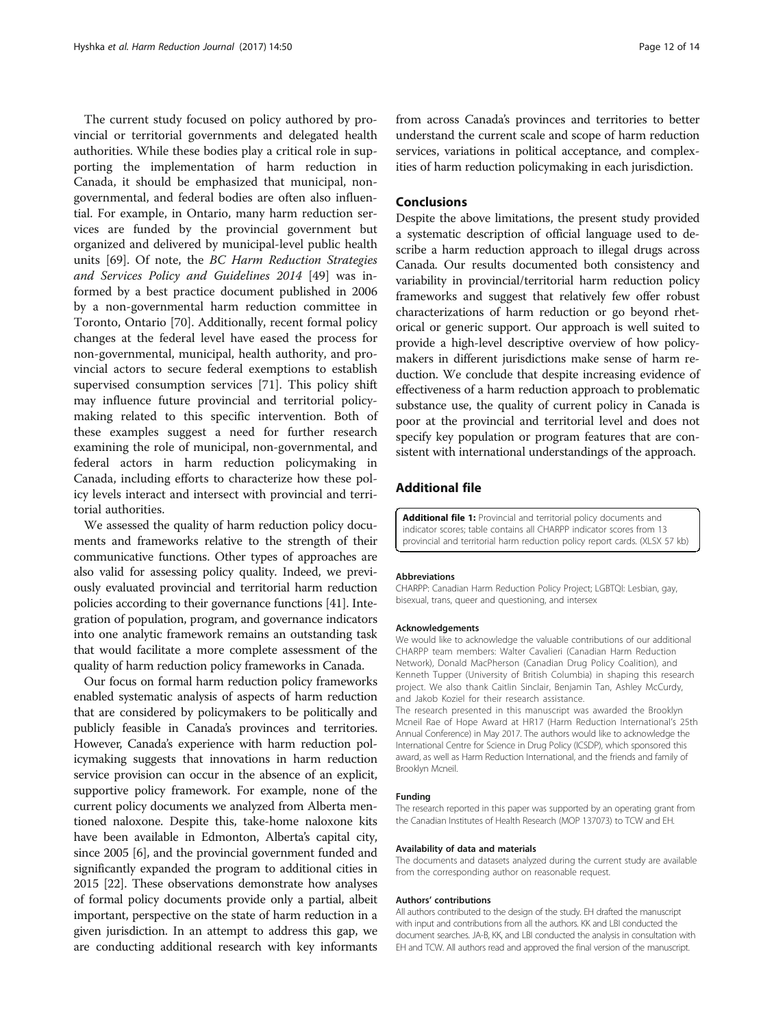<span id="page-11-0"></span>The current study focused on policy authored by provincial or territorial governments and delegated health authorities. While these bodies play a critical role in supporting the implementation of harm reduction in Canada, it should be emphasized that municipal, nongovernmental, and federal bodies are often also influential. For example, in Ontario, many harm reduction services are funded by the provincial government but organized and delivered by municipal-level public health units [[69\]](#page-13-0). Of note, the BC Harm Reduction Strategies and Services Policy and Guidelines 2014 [[49](#page-13-0)] was informed by a best practice document published in 2006 by a non-governmental harm reduction committee in Toronto, Ontario [\[70](#page-13-0)]. Additionally, recent formal policy changes at the federal level have eased the process for non-governmental, municipal, health authority, and provincial actors to secure federal exemptions to establish supervised consumption services [[71\]](#page-13-0). This policy shift may influence future provincial and territorial policymaking related to this specific intervention. Both of these examples suggest a need for further research examining the role of municipal, non-governmental, and federal actors in harm reduction policymaking in Canada, including efforts to characterize how these policy levels interact and intersect with provincial and territorial authorities.

We assessed the quality of harm reduction policy documents and frameworks relative to the strength of their communicative functions. Other types of approaches are also valid for assessing policy quality. Indeed, we previously evaluated provincial and territorial harm reduction policies according to their governance functions [[41](#page-13-0)]. Integration of population, program, and governance indicators into one analytic framework remains an outstanding task that would facilitate a more complete assessment of the quality of harm reduction policy frameworks in Canada.

Our focus on formal harm reduction policy frameworks enabled systematic analysis of aspects of harm reduction that are considered by policymakers to be politically and publicly feasible in Canada's provinces and territories. However, Canada's experience with harm reduction policymaking suggests that innovations in harm reduction service provision can occur in the absence of an explicit, supportive policy framework. For example, none of the current policy documents we analyzed from Alberta mentioned naloxone. Despite this, take-home naloxone kits have been available in Edmonton, Alberta's capital city, since 2005 [\[6](#page-12-0)], and the provincial government funded and significantly expanded the program to additional cities in 2015 [[22\]](#page-12-0). These observations demonstrate how analyses of formal policy documents provide only a partial, albeit important, perspective on the state of harm reduction in a given jurisdiction. In an attempt to address this gap, we are conducting additional research with key informants

from across Canada's provinces and territories to better understand the current scale and scope of harm reduction services, variations in political acceptance, and complexities of harm reduction policymaking in each jurisdiction.

# Conclusions

Despite the above limitations, the present study provided a systematic description of official language used to describe a harm reduction approach to illegal drugs across Canada. Our results documented both consistency and variability in provincial/territorial harm reduction policy frameworks and suggest that relatively few offer robust characterizations of harm reduction or go beyond rhetorical or generic support. Our approach is well suited to provide a high-level descriptive overview of how policymakers in different jurisdictions make sense of harm reduction. We conclude that despite increasing evidence of effectiveness of a harm reduction approach to problematic substance use, the quality of current policy in Canada is poor at the provincial and territorial level and does not specify key population or program features that are consistent with international understandings of the approach.

# Additional file

[Additional file 1:](dx.doi.org/10.1186/s12954-017-0177-7) Provincial and territorial policy documents and indicator scores; table contains all CHARPP indicator scores from 13 provincial and territorial harm reduction policy report cards. (XLSX 57 kb)

#### Abbreviations

CHARPP: Canadian Harm Reduction Policy Project; LGBTQI: Lesbian, gay, bisexual, trans, queer and questioning, and intersex

#### Acknowledgements

We would like to acknowledge the valuable contributions of our additional CHARPP team members: Walter Cavalieri (Canadian Harm Reduction Network), Donald MacPherson (Canadian Drug Policy Coalition), and Kenneth Tupper (University of British Columbia) in shaping this research project. We also thank Caitlin Sinclair, Benjamin Tan, Ashley McCurdy, and Jakob Koziel for their research assistance.

The research presented in this manuscript was awarded the Brooklyn Mcneil Rae of Hope Award at HR17 (Harm Reduction International's 25th Annual Conference) in May 2017. The authors would like to acknowledge the International Centre for Science in Drug Policy (ICSDP), which sponsored this award, as well as Harm Reduction International, and the friends and family of Brooklyn Mcneil.

#### Funding

The research reported in this paper was supported by an operating grant from the Canadian Institutes of Health Research (MOP 137073) to TCW and EH.

#### Availability of data and materials

The documents and datasets analyzed during the current study are available from the corresponding author on reasonable request.

#### Authors' contributions

All authors contributed to the design of the study. EH drafted the manuscript with input and contributions from all the authors. KK and LBI conducted the document searches. JA-B, KK, and LBI conducted the analysis in consultation with EH and TCW. All authors read and approved the final version of the manuscript.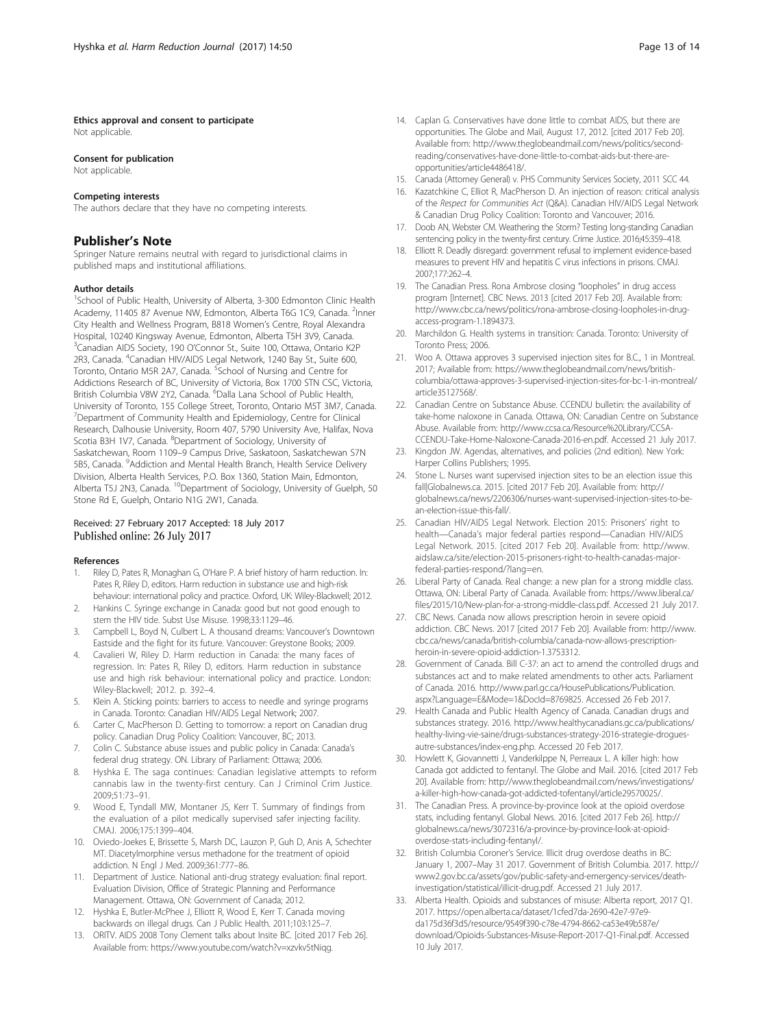#### <span id="page-12-0"></span>Ethics approval and consent to participate Not applicable.

# Consent for publication

Not applicable.

#### Competing interests

The authors declare that they have no competing interests.

# Publisher's Note

Springer Nature remains neutral with regard to jurisdictional claims in published maps and institutional affiliations.

#### Author details

<sup>1</sup>School of Public Health, University of Alberta, 3-300 Edmonton Clinic Health Academy, 11405 87 Avenue NW, Edmonton, Alberta T6G 1C9, Canada. <sup>2</sup>Inner City Health and Wellness Program, B818 Women's Centre, Royal Alexandra Hospital, 10240 Kingsway Avenue, Edmonton, Alberta T5H 3V9, Canada. 3 Canadian AIDS Society, 190 O'Connor St., Suite 100, Ottawa, Ontario K2P 2R3, Canada. <sup>4</sup>Canadian HIV/AIDS Legal Network, 1240 Bay St., Suite 600, Toronto, Ontario M5R 2A7, Canada. <sup>5</sup>School of Nursing and Centre for Addictions Research of BC, University of Victoria, Box 1700 STN CSC, Victoria, British Columbia V8W 2Y2, Canada. <sup>6</sup>Dalla Lana School of Public Health, University of Toronto, 155 College Street, Toronto, Ontario M5T 3M7, Canada. <sup>7</sup>Department of Community Health and Epidemiology, Centre for Clinical Research, Dalhousie University, Room 407, 5790 University Ave, Halifax, Nova Scotia B3H 1V7, Canada. <sup>8</sup>Department of Sociology, University of Saskatchewan, Room 1109–9 Campus Drive, Saskatoon, Saskatchewan S7N 5B5, Canada. <sup>9</sup>Addiction and Mental Health Branch, Health Service Delivery Division, Alberta Health Services, P.O. Box 1360, Station Main, Edmonton, Alberta T5J 2N3, Canada. 10Department of Sociology, University of Guelph, 50 Stone Rd E, Guelph, Ontario N1G 2W1, Canada.

## Received: 27 February 2017 Accepted: 18 July 2017 Published online: 26 July 2017

#### References

- Riley D, Pates R, Monaghan G, O'Hare P. A brief history of harm reduction. In: Pates R, Riley D, editors. Harm reduction in substance use and high-risk behaviour: international policy and practice. Oxford, UK: Wiley-Blackwell; 2012.
- 2. Hankins C. Syringe exchange in Canada: good but not good enough to stem the HIV tide. Subst Use Misuse. 1998;33:1129–46.
- 3. Campbell L, Boyd N, Culbert L. A thousand dreams: Vancouver's Downtown Eastside and the fight for its future. Vancouver: Greystone Books; 2009.
- 4. Cavalieri W, Riley D. Harm reduction in Canada: the many faces of regression. In: Pates R, Riley D, editors. Harm reduction in substance use and high risk behaviour: international policy and practice. London: Wiley-Blackwell; 2012. p. 392–4.
- 5. Klein A. Sticking points: barriers to access to needle and syringe programs in Canada. Toronto: Canadian HIV/AIDS Legal Network; 2007.
- 6. Carter C, MacPherson D. Getting to tomorrow: a report on Canadian drug policy. Canadian Drug Policy Coalition: Vancouver, BC; 2013.
- 7. Colin C. Substance abuse issues and public policy in Canada: Canada's federal drug strategy. ON. Library of Parliament: Ottawa; 2006.
- 8. Hyshka E. The saga continues: Canadian legislative attempts to reform cannabis law in the twenty-first century. Can J Criminol Crim Justice. 2009;51:73–91.
- 9. Wood E, Tyndall MW, Montaner JS, Kerr T. Summary of findings from the evaluation of a pilot medically supervised safer injecting facility. CMAJ. 2006;175:1399–404.
- 10. Oviedo-Joekes E, Brissette S, Marsh DC, Lauzon P, Guh D, Anis A, Schechter MT. Diacetylmorphine versus methadone for the treatment of opioid addiction. N Engl J Med. 2009;361:777–86.
- 11. Department of Justice. National anti-drug strategy evaluation: final report. Evaluation Division, Office of Strategic Planning and Performance Management. Ottawa, ON: Government of Canada; 2012.
- 12. Hyshka E, Butler-McPhee J, Elliott R, Wood E, Kerr T. Canada moving backwards on illegal drugs. Can J Public Health. 2011;103:125–7.
- 13. ORITV. AIDS 2008 Tony Clement talks about Insite BC. [cited 2017 Feb 26]. Available from:<https://www.youtube.com/watch?v=xzvkv5tNiqg>.
- 14. Caplan G. Conservatives have done little to combat AIDS, but there are opportunities. The Globe and Mail, August 17, 2012. [cited 2017 Feb 20]. Available from: [http://www.theglobeandmail.com/news/politics/second](http://www.theglobeandmail.com/news/politics/second-reading/conservatives-have-done-little-to-combat-aids-but-there-are-opportunities/article4486418/)[reading/conservatives-have-done-little-to-combat-aids-but-there-are](http://www.theglobeandmail.com/news/politics/second-reading/conservatives-have-done-little-to-combat-aids-but-there-are-opportunities/article4486418/)[opportunities/article4486418/.](http://www.theglobeandmail.com/news/politics/second-reading/conservatives-have-done-little-to-combat-aids-but-there-are-opportunities/article4486418/)
- 15. Canada (Attorney General) v. PHS Community Services Society, 2011 SCC 44.
- 16. Kazatchkine C, Elliot R, MacPherson D. An injection of reason: critical analysis of the Respect for Communities Act (Q&A). Canadian HIV/AIDS Legal Network & Canadian Drug Policy Coalition: Toronto and Vancouver; 2016.
- 17. Doob AN, Webster CM. Weathering the Storm? Testing long-standing Canadian sentencing policy in the twenty-first century. Crime Justice. 2016;45:359–418.
- 18. Elliott R. Deadly disregard: government refusal to implement evidence-based measures to prevent HIV and hepatitis C virus infections in prisons. CMAJ. 2007;177:262–4.
- 19. The Canadian Press. Rona Ambrose closing "loopholes" in drug access program [Internet]. CBC News. 2013 [cited 2017 Feb 20]. Available from: [http://www.cbc.ca/news/politics/rona-ambrose-closing-loopholes-in-drug](http://www.cbc.ca/news/politics/rona-ambrose-closing-loopholes-in-drug-access-program-1.1894373)[access-program-1.1894373](http://www.cbc.ca/news/politics/rona-ambrose-closing-loopholes-in-drug-access-program-1.1894373).
- 20. Marchildon G. Health systems in transition: Canada. Toronto: University of Toronto Press; 2006.
- 21. Woo A. Ottawa approves 3 supervised injection sites for B.C., 1 in Montreal. 2017; Available from: [https://www.theglobeandmail.com/news/british](https://www.theglobeandmail.com/news/british-columbia/ottawa-approves-3-supervised-injection-sites-for-bc-1-in-montreal/article35127568/)[columbia/ottawa-approves-3-supervised-injection-sites-for-bc-1-in-montreal/](https://www.theglobeandmail.com/news/british-columbia/ottawa-approves-3-supervised-injection-sites-for-bc-1-in-montreal/article35127568/) [article35127568/](https://www.theglobeandmail.com/news/british-columbia/ottawa-approves-3-supervised-injection-sites-for-bc-1-in-montreal/article35127568/).
- 22. Canadian Centre on Substance Abuse. CCENDU bulletin: the availability of take-home naloxone in Canada. Ottawa, ON: Canadian Centre on Substance Abuse. Available from: [http://www.ccsa.ca/Resource%20Library/CCSA-](http://www.ccsa.ca/Resource%20Library/CCSA-CCENDU-Take-Home-Naloxone-Canada-2016-en.pdf)[CCENDU-Take-Home-Naloxone-Canada-2016-en.pdf](http://www.ccsa.ca/Resource%20Library/CCSA-CCENDU-Take-Home-Naloxone-Canada-2016-en.pdf). Accessed 21 July 2017.
- 23. Kingdon JW. Agendas, alternatives, and policies (2nd edition). New York: Harper Collins Publishers: 1995.
- 24. Stone L. Nurses want supervised injection sites to be an election issue this fall|Globalnews.ca. 2015. [cited 2017 Feb 20]. Available from: [http://](http://globalnews.ca/news/2206306/nurses-want-supervised-injection-sites-to-be-an-election-issue-this-fall/) [globalnews.ca/news/2206306/nurses-want-supervised-injection-sites-to-be](http://globalnews.ca/news/2206306/nurses-want-supervised-injection-sites-to-be-an-election-issue-this-fall/)[an-election-issue-this-fall/.](http://globalnews.ca/news/2206306/nurses-want-supervised-injection-sites-to-be-an-election-issue-this-fall/)
- 25. Canadian HIV/AIDS Legal Network. Election 2015: Prisoners' right to health—Canada's major federal parties respond—Canadian HIV/AIDS Legal Network. 2015. [cited 2017 Feb 20]. Available from: [http://www.](http://www.aidslaw.ca/site/election-2015-prisoners-right-to-health-canadas-major-federal-parties-respond/?lang=en) [aidslaw.ca/site/election-2015-prisoners-right-to-health-canadas-major](http://www.aidslaw.ca/site/election-2015-prisoners-right-to-health-canadas-major-federal-parties-respond/?lang=en)[federal-parties-respond/?lang=en.](http://www.aidslaw.ca/site/election-2015-prisoners-right-to-health-canadas-major-federal-parties-respond/?lang=en)
- 26. Liberal Party of Canada. Real change: a new plan for a strong middle class. Ottawa, ON: Liberal Party of Canada. Available from: [https://www.liberal.ca/](https://www.liberal.ca/files/2015/10/New-plan-for-a-strong-middle-class.pdf) [files/2015/10/New-plan-for-a-strong-middle-class.pdf.](https://www.liberal.ca/files/2015/10/New-plan-for-a-strong-middle-class.pdf) Accessed 21 July 2017.
- 27. CBC News. Canada now allows prescription heroin in severe opioid addiction. CBC News. 2017 [cited 2017 Feb 20]. Available from: [http://www.](http://www.cbc.ca/news/canada/british-columbia/canada-now-allows-prescription-heroin-in-severe-opioid-addiction-1.3753312) [cbc.ca/news/canada/british-columbia/canada-now-allows-prescription](http://www.cbc.ca/news/canada/british-columbia/canada-now-allows-prescription-heroin-in-severe-opioid-addiction-1.3753312)[heroin-in-severe-opioid-addiction-1.3753312](http://www.cbc.ca/news/canada/british-columbia/canada-now-allows-prescription-heroin-in-severe-opioid-addiction-1.3753312).
- 28. Government of Canada. Bill C-37: an act to amend the controlled drugs and substances act and to make related amendments to other acts. Parliament of Canada. 2016. [http://www.parl.gc.ca/HousePublications/Publication.](http://www.parl.gc.ca/HousePublications/Publication.aspx?Language=E&Mode=1&DocId=8769825) [aspx?Language=E&Mode=1&DocId=8769825.](http://www.parl.gc.ca/HousePublications/Publication.aspx?Language=E&Mode=1&DocId=8769825) Accessed 26 Feb 2017.
- 29. Health Canada and Public Health Agency of Canada. Canadian drugs and substances strategy. 2016. [http://www.healthycanadians.gc.ca/publications/](http://www.healthycanadians.gc.ca/publications/healthy-living-vie-saine/drugs-substances-strategy-2016-strategie-drogues-autre-substances/index-eng.php) [healthy-living-vie-saine/drugs-substances-strategy-2016-strategie-drogues](http://www.healthycanadians.gc.ca/publications/healthy-living-vie-saine/drugs-substances-strategy-2016-strategie-drogues-autre-substances/index-eng.php)[autre-substances/index-eng.php](http://www.healthycanadians.gc.ca/publications/healthy-living-vie-saine/drugs-substances-strategy-2016-strategie-drogues-autre-substances/index-eng.php). Accessed 20 Feb 2017.
- 30. Howlett K, Giovannetti J, Vanderkilppe N, Perreaux L. A killer high: how Canada got addicted to fentanyl. The Globe and Mail. 2016. [cited 2017 Feb 20]. Available from: [http://www.theglobeandmail.com/news/investigations/](http://www.theglobeandmail.com/news/investigations/a-killer-high-how-canada-got-addicted-tofentanyl/article29570025/) [a-killer-high-how-canada-got-addicted-tofentanyl/article29570025/.](http://www.theglobeandmail.com/news/investigations/a-killer-high-how-canada-got-addicted-tofentanyl/article29570025/)
- 31. The Canadian Press. A province-by-province look at the opioid overdose stats, including fentanyl. Global News. 2016. [cited 2017 Feb 26]. [http://](http://globalnews.ca/news/3072316/a-province-by-province-look-at-opioid-overdose-stats-including-fentanyl/) [globalnews.ca/news/3072316/a-province-by-province-look-at-opioid](http://globalnews.ca/news/3072316/a-province-by-province-look-at-opioid-overdose-stats-including-fentanyl/)[overdose-stats-including-fentanyl/.](http://globalnews.ca/news/3072316/a-province-by-province-look-at-opioid-overdose-stats-including-fentanyl/)
- 32. British Columbia Coroner's Service. Illicit drug overdose deaths in BC: January 1, 2007–May 31 2017. Government of British Columbia. 2017. [http://](http://www2.gov.bc.ca/assets/gov/public-safety-and-emergency-services/death-investigation/statistical/illicit-drug.pdf) [www2.gov.bc.ca/assets/gov/public-safety-and-emergency-services/death](http://www2.gov.bc.ca/assets/gov/public-safety-and-emergency-services/death-investigation/statistical/illicit-drug.pdf)[investigation/statistical/illicit-drug.pdf.](http://www2.gov.bc.ca/assets/gov/public-safety-and-emergency-services/death-investigation/statistical/illicit-drug.pdf) Accessed 21 July 2017.
- 33. Alberta Health. Opioids and substances of misuse: Alberta report, 2017 Q1. 2017. [https://open.alberta.ca/dataset/1cfed7da-2690-42e7-97e9](https://open.alberta.ca/dataset/1cfed7da-2690-42e7-97e9-da175d36f3d5/resource/9549f390-c78e-4794-8662-ca53e49b587e/download/Opioids-Substances-Misuse-Report-2017-Q1-Final.pdf) [da175d36f3d5/resource/9549f390-c78e-4794-8662-ca53e49b587e/](https://open.alberta.ca/dataset/1cfed7da-2690-42e7-97e9-da175d36f3d5/resource/9549f390-c78e-4794-8662-ca53e49b587e/download/Opioids-Substances-Misuse-Report-2017-Q1-Final.pdf) [download/Opioids-Substances-Misuse-Report-2017-Q1-Final.pdf.](https://open.alberta.ca/dataset/1cfed7da-2690-42e7-97e9-da175d36f3d5/resource/9549f390-c78e-4794-8662-ca53e49b587e/download/Opioids-Substances-Misuse-Report-2017-Q1-Final.pdf) Accessed 10 July 2017.